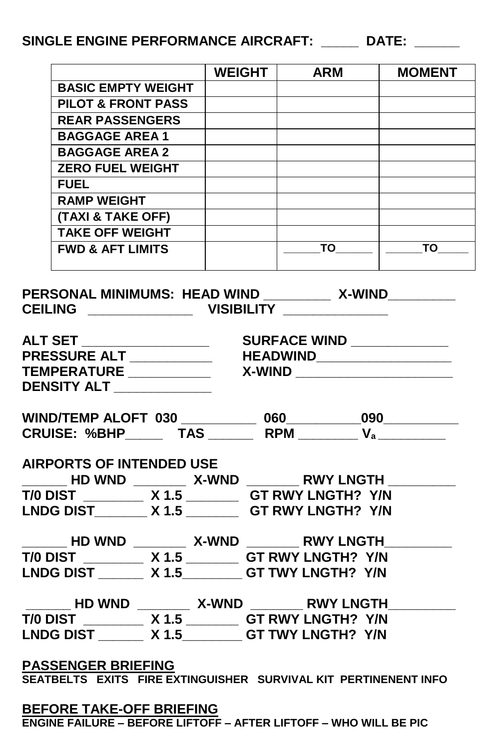## **SINGLE ENGINE PERFORMANCE AIRCRAFT: \_\_\_\_\_ DATE: \_\_\_\_\_\_**

|                                                                 |                                                                                                                                     |  | WEIGHT   ARM | <b>MOMENT</b> |  |  |  |  |  |  |
|-----------------------------------------------------------------|-------------------------------------------------------------------------------------------------------------------------------------|--|--------------|---------------|--|--|--|--|--|--|
|                                                                 | <b>BASIC EMPTY WEIGHT</b>                                                                                                           |  |              |               |  |  |  |  |  |  |
|                                                                 | <b>PILOT &amp; FRONT PASS</b>                                                                                                       |  |              |               |  |  |  |  |  |  |
|                                                                 | <b>REAR PASSENGERS</b>                                                                                                              |  |              |               |  |  |  |  |  |  |
|                                                                 | <b>BAGGAGE AREA 1</b>                                                                                                               |  |              |               |  |  |  |  |  |  |
|                                                                 | <b>BAGGAGE AREA 2</b>                                                                                                               |  |              |               |  |  |  |  |  |  |
|                                                                 | <b>ZERO FUEL WEIGHT</b>                                                                                                             |  |              |               |  |  |  |  |  |  |
|                                                                 | <b>FUEL Example</b>                                                                                                                 |  |              |               |  |  |  |  |  |  |
|                                                                 | <b>RAMP WEIGHT</b>                                                                                                                  |  |              |               |  |  |  |  |  |  |
|                                                                 | <b>(TAXI &amp; TAKE OFF)</b>                                                                                                        |  |              |               |  |  |  |  |  |  |
|                                                                 | <b>TAKE OFF WEIGHT</b>                                                                                                              |  |              |               |  |  |  |  |  |  |
|                                                                 | <b>FWD &amp; AFT LIMITS</b>                                                                                                         |  |              |               |  |  |  |  |  |  |
| PERSONAL MINIMUMS: HEAD WIND __________ X-WIND_________         |                                                                                                                                     |  |              |               |  |  |  |  |  |  |
|                                                                 | ALT SET ______________________          SURFACE WIND ______________<br>PRESSURE ALT ____________         HEADWIND__________________ |  |              |               |  |  |  |  |  |  |
|                                                                 |                                                                                                                                     |  |              |               |  |  |  |  |  |  |
| TEMPERATURE ____________  X-WIND ______________________         |                                                                                                                                     |  |              |               |  |  |  |  |  |  |
| DENSITY ALT ____________                                        |                                                                                                                                     |  |              |               |  |  |  |  |  |  |
|                                                                 |                                                                                                                                     |  |              |               |  |  |  |  |  |  |
|                                                                 | CRUISE: %BHP_________ TAS __________ RPM ___________ V <sub>a</sub>                                                                 |  |              |               |  |  |  |  |  |  |
|                                                                 |                                                                                                                                     |  |              |               |  |  |  |  |  |  |
|                                                                 |                                                                                                                                     |  |              |               |  |  |  |  |  |  |
| <b>AIRPORTS OF INTENDED USE</b>                                 |                                                                                                                                     |  |              |               |  |  |  |  |  |  |
|                                                                 |                                                                                                                                     |  |              |               |  |  |  |  |  |  |
|                                                                 | T/0 DIST ________ X 1.5 _______ GT RWY LNGTH? Y/N<br>LNDG DIST_______ X 1.5 ________ GT RWY LNGTH? Y/N                              |  |              |               |  |  |  |  |  |  |
|                                                                 |                                                                                                                                     |  |              |               |  |  |  |  |  |  |
|                                                                 |                                                                                                                                     |  |              |               |  |  |  |  |  |  |
|                                                                 |                                                                                                                                     |  |              |               |  |  |  |  |  |  |
|                                                                 | T/0 DIST ________ X 1.5 _______ GT RWY LNGTH? Y/N                                                                                   |  |              |               |  |  |  |  |  |  |
|                                                                 |                                                                                                                                     |  |              |               |  |  |  |  |  |  |
|                                                                 |                                                                                                                                     |  |              |               |  |  |  |  |  |  |
|                                                                 | HD WND ________ X-WND ________ RWY LNGTH_<br>T/0 DIST __________ X 1.5 ________ GT RWY LNGTH? Y/N                                   |  |              |               |  |  |  |  |  |  |
|                                                                 | LNDG DIST ______ X 1.5 ______ GT TWY LNGTH? Y/N                                                                                     |  |              |               |  |  |  |  |  |  |
|                                                                 |                                                                                                                                     |  |              |               |  |  |  |  |  |  |
| <b>PASSENGER BRIEFING</b>                                       |                                                                                                                                     |  |              |               |  |  |  |  |  |  |
| SEATBELTS EXITS FIRE EXTINGUISHER SURVIVAL KIT PERTINENENT INFO |                                                                                                                                     |  |              |               |  |  |  |  |  |  |
|                                                                 |                                                                                                                                     |  |              |               |  |  |  |  |  |  |
| <b>BEFORE TAKE-OFF BRIEFING</b>                                 |                                                                                                                                     |  |              |               |  |  |  |  |  |  |

**ENGINE FAILURE – BEFORE LIFTOFF – AFTER LIFTOFF – WHO WILL BE PIC**